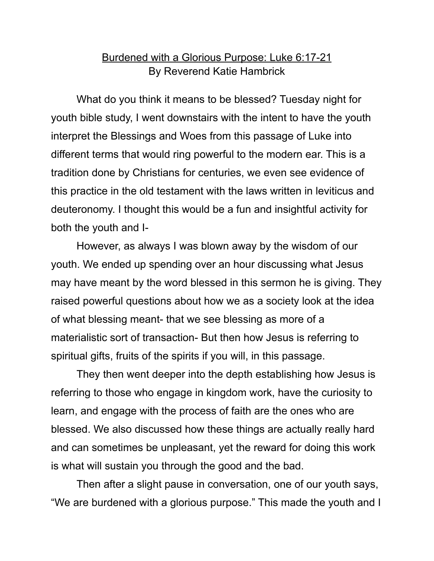## Burdened with a Glorious Purpose: Luke 6:17-21 By Reverend Katie Hambrick

What do you think it means to be blessed? Tuesday night for youth bible study, I went downstairs with the intent to have the youth interpret the Blessings and Woes from this passage of Luke into different terms that would ring powerful to the modern ear. This is a tradition done by Christians for centuries, we even see evidence of this practice in the old testament with the laws written in leviticus and deuteronomy. I thought this would be a fun and insightful activity for both the youth and I-

However, as always I was blown away by the wisdom of our youth. We ended up spending over an hour discussing what Jesus may have meant by the word blessed in this sermon he is giving. They raised powerful questions about how we as a society look at the idea of what blessing meant- that we see blessing as more of a materialistic sort of transaction- But then how Jesus is referring to spiritual gifts, fruits of the spirits if you will, in this passage.

They then went deeper into the depth establishing how Jesus is referring to those who engage in kingdom work, have the curiosity to learn, and engage with the process of faith are the ones who are blessed. We also discussed how these things are actually really hard and can sometimes be unpleasant, yet the reward for doing this work is what will sustain you through the good and the bad.

Then after a slight pause in conversation, one of our youth says, "We are burdened with a glorious purpose." This made the youth and I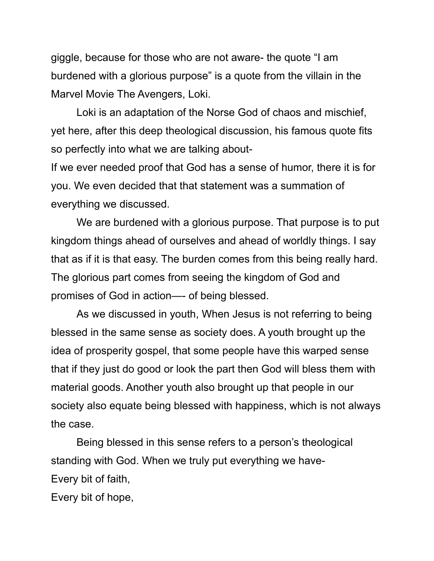giggle, because for those who are not aware- the quote "I am burdened with a glorious purpose" is a quote from the villain in the Marvel Movie The Avengers, Loki.

Loki is an adaptation of the Norse God of chaos and mischief, yet here, after this deep theological discussion, his famous quote fits so perfectly into what we are talking about-

If we ever needed proof that God has a sense of humor, there it is for you. We even decided that that statement was a summation of everything we discussed.

We are burdened with a glorious purpose. That purpose is to put kingdom things ahead of ourselves and ahead of worldly things. I say that as if it is that easy. The burden comes from this being really hard. The glorious part comes from seeing the kingdom of God and promises of God in action—- of being blessed.

As we discussed in youth, When Jesus is not referring to being blessed in the same sense as society does. A youth brought up the idea of prosperity gospel, that some people have this warped sense that if they just do good or look the part then God will bless them with material goods. Another youth also brought up that people in our society also equate being blessed with happiness, which is not always the case.

Being blessed in this sense refers to a person's theological standing with God. When we truly put everything we have-Every bit of faith,

Every bit of hope,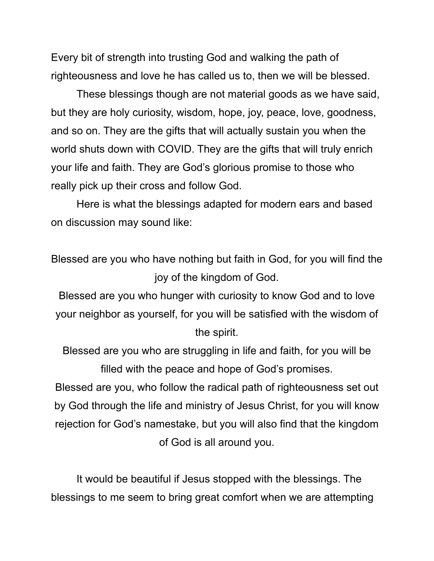Every bit of strength into trusting God and walking the path of righteousness and love he has called us to, then we will be blessed.

These blessings though are not material goods as we have said, but they are holy curiosity, wisdom, hope, joy, peace, love, goodness, and so on. They are the gifts that will actually sustain you when the world shuts down with COVID. They are the gifts that will truly enrich your life and faith. They are God's glorious promise to those who really pick up their cross and follow God.

Here is what the blessings adapted for modern ears and based on discussion may sound like:

Blessed are you who have nothing but faith in God, for you will find the joy of the kingdom of God.

Blessed are you who hunger with curiosity to know God and to love your neighbor as yourself, for you will be satisfied with the wisdom of the spirit.

Blessed are you who are struggling in life and faith, for you will be filled with the peace and hope of God's promises.

Blessed are you, who follow the radical path of righteousness set out by God through the life and ministry of Jesus Christ, for you will know rejection for God's namestake, but you will also find that the kingdom of God is all around you.

It would be beautiful if Jesus stopped with the blessings. The blessings to me seem to bring great comfort when we are attempting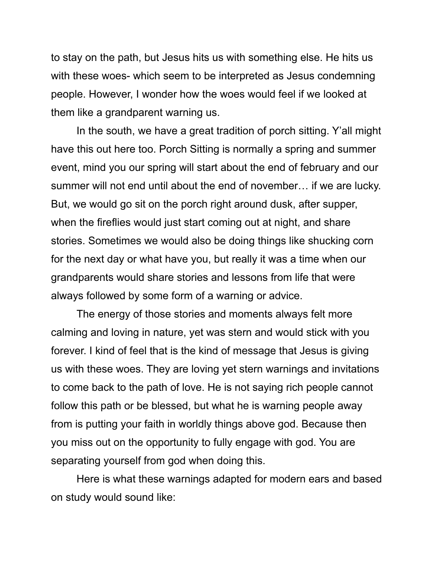to stay on the path, but Jesus hits us with something else. He hits us with these woes- which seem to be interpreted as Jesus condemning people. However, I wonder how the woes would feel if we looked at them like a grandparent warning us.

In the south, we have a great tradition of porch sitting. Y'all might have this out here too. Porch Sitting is normally a spring and summer event, mind you our spring will start about the end of february and our summer will not end until about the end of november… if we are lucky. But, we would go sit on the porch right around dusk, after supper, when the fireflies would just start coming out at night, and share stories. Sometimes we would also be doing things like shucking corn for the next day or what have you, but really it was a time when our grandparents would share stories and lessons from life that were always followed by some form of a warning or advice.

The energy of those stories and moments always felt more calming and loving in nature, yet was stern and would stick with you forever. I kind of feel that is the kind of message that Jesus is giving us with these woes. They are loving yet stern warnings and invitations to come back to the path of love. He is not saying rich people cannot follow this path or be blessed, but what he is warning people away from is putting your faith in worldly things above god. Because then you miss out on the opportunity to fully engage with god. You are separating yourself from god when doing this.

Here is what these warnings adapted for modern ears and based on study would sound like: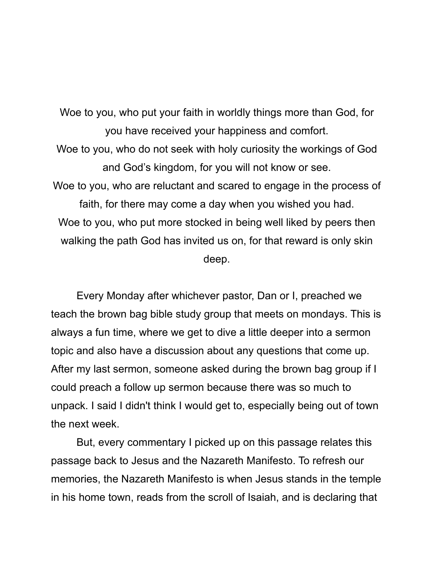Woe to you, who put your faith in worldly things more than God, for you have received your happiness and comfort. Woe to you, who do not seek with holy curiosity the workings of God and God's kingdom, for you will not know or see. Woe to you, who are reluctant and scared to engage in the process of faith, for there may come a day when you wished you had. Woe to you, who put more stocked in being well liked by peers then walking the path God has invited us on, for that reward is only skin deep.

Every Monday after whichever pastor, Dan or I, preached we teach the brown bag bible study group that meets on mondays. This is always a fun time, where we get to dive a little deeper into a sermon topic and also have a discussion about any questions that come up. After my last sermon, someone asked during the brown bag group if I could preach a follow up sermon because there was so much to unpack. I said I didn't think I would get to, especially being out of town the next week.

But, every commentary I picked up on this passage relates this passage back to Jesus and the Nazareth Manifesto. To refresh our memories, the Nazareth Manifesto is when Jesus stands in the temple in his home town, reads from the scroll of Isaiah, and is declaring that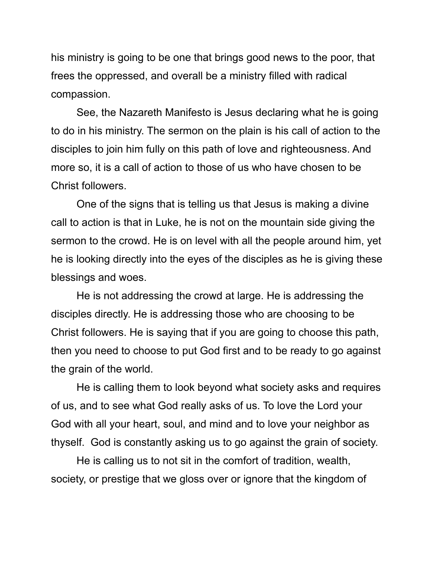his ministry is going to be one that brings good news to the poor, that frees the oppressed, and overall be a ministry filled with radical compassion.

See, the Nazareth Manifesto is Jesus declaring what he is going to do in his ministry. The sermon on the plain is his call of action to the disciples to join him fully on this path of love and righteousness. And more so, it is a call of action to those of us who have chosen to be Christ followers.

One of the signs that is telling us that Jesus is making a divine call to action is that in Luke, he is not on the mountain side giving the sermon to the crowd. He is on level with all the people around him, yet he is looking directly into the eyes of the disciples as he is giving these blessings and woes.

He is not addressing the crowd at large. He is addressing the disciples directly. He is addressing those who are choosing to be Christ followers. He is saying that if you are going to choose this path, then you need to choose to put God first and to be ready to go against the grain of the world.

He is calling them to look beyond what society asks and requires of us, and to see what God really asks of us. To love the Lord your God with all your heart, soul, and mind and to love your neighbor as thyself. God is constantly asking us to go against the grain of society.

He is calling us to not sit in the comfort of tradition, wealth, society, or prestige that we gloss over or ignore that the kingdom of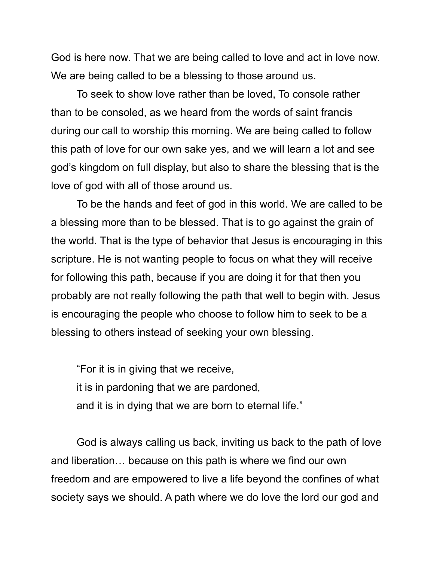God is here now. That we are being called to love and act in love now. We are being called to be a blessing to those around us.

To seek to show love rather than be loved, To console rather than to be consoled, as we heard from the words of saint francis during our call to worship this morning. We are being called to follow this path of love for our own sake yes, and we will learn a lot and see god's kingdom on full display, but also to share the blessing that is the love of god with all of those around us.

To be the hands and feet of god in this world. We are called to be a blessing more than to be blessed. That is to go against the grain of the world. That is the type of behavior that Jesus is encouraging in this scripture. He is not wanting people to focus on what they will receive for following this path, because if you are doing it for that then you probably are not really following the path that well to begin with. Jesus is encouraging the people who choose to follow him to seek to be a blessing to others instead of seeking your own blessing.

"For it is in giving that we receive, it is in pardoning that we are pardoned, and it is in dying that we are born to eternal life."

God is always calling us back, inviting us back to the path of love and liberation… because on this path is where we find our own freedom and are empowered to live a life beyond the confines of what society says we should. A path where we do love the lord our god and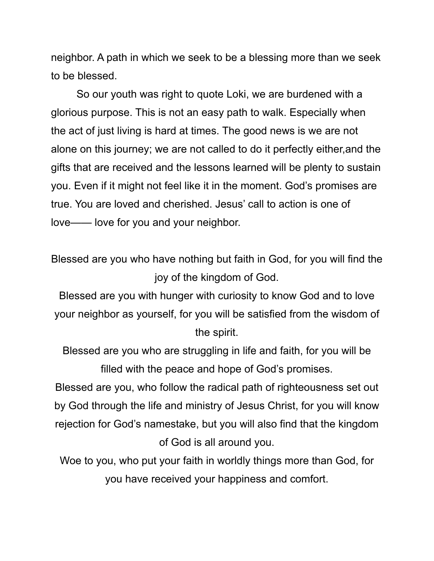neighbor. A path in which we seek to be a blessing more than we seek to be blessed.

So our youth was right to quote Loki, we are burdened with a glorious purpose. This is not an easy path to walk. Especially when the act of just living is hard at times. The good news is we are not alone on this journey; we are not called to do it perfectly either,and the gifts that are received and the lessons learned will be plenty to sustain you. Even if it might not feel like it in the moment. God's promises are true. You are loved and cherished. Jesus' call to action is one of love—— love for you and your neighbor.

Blessed are you who have nothing but faith in God, for you will find the joy of the kingdom of God.

Blessed are you with hunger with curiosity to know God and to love your neighbor as yourself, for you will be satisfied from the wisdom of the spirit.

Blessed are you who are struggling in life and faith, for you will be filled with the peace and hope of God's promises.

Blessed are you, who follow the radical path of righteousness set out by God through the life and ministry of Jesus Christ, for you will know rejection for God's namestake, but you will also find that the kingdom of God is all around you.

Woe to you, who put your faith in worldly things more than God, for you have received your happiness and comfort.